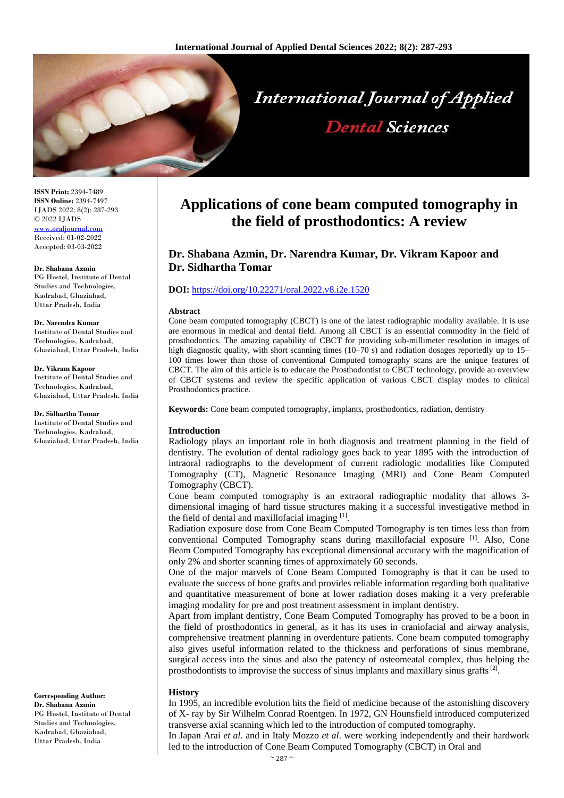

**ISSN Print:** 2394-7489 **ISSN Online:** 2394-7497 IJADS 2022; 8(2): 287-293 © 2022 IJADS [www.oraljournal.com](http://www.oraljournal.com/) Received: 01-02-2022 Accepted: 03-03-2022

**Dr. Shabana Azmin** PG Hostel, Institute of Dental Studies and Technologies, Kadrabad, Ghaziabad, Uttar Pradesh, India

#### **Dr. Narendra Kumar**

Institute of Dental Studies and Technologies, Kadrabad, Ghaziabad, Uttar Pradesh, India

### **Dr. Vikram Kapoor**

Institute of Dental Studies and Technologies, Kadrabad, Ghaziabad, Uttar Pradesh, India

#### **Dr. Sidhartha Tomar**

Institute of Dental Studies and Technologies, Kadrabad, Ghaziabad, Uttar Pradesh, India

**Corresponding Author: Dr. Shabana Azmin** PG Hostel, Institute of Dental Studies and Technologies, Kadrabad, Ghaziabad, Uttar Pradesh, India

# **Applications of cone beam computed tomography in the field of prosthodontics: A review**

# **Dr. Shabana Azmin, Dr. Narendra Kumar, Dr. Vikram Kapoor and Dr. Sidhartha Tomar**

### **DOI:** <https://doi.org/10.22271/oral.2022.v8.i2e.1520>

### **Abstract**

Cone beam computed tomography (CBCT) is one of the latest radiographic modality available. It is use are enormous in medical and dental field. Among all CBCT is an essential commodity in the field of prosthodontics. The amazing capability of CBCT for providing sub-millimeter resolution in images of high diagnostic quality, with short scanning times (10–70 s) and radiation dosages reportedly up to 15– 100 times lower than those of conventional Computed tomography scans are the unique features of CBCT. The aim of this article is to educate the Prosthodontist to CBCT technology, provide an overview of CBCT systems and review the specific application of various CBCT display modes to clinical Prosthodontics practice.

**Keywords:** Cone beam computed tomography, implants, prosthodontics, radiation, dentistry

### **Introduction**

Radiology plays an important role in both diagnosis and treatment planning in the field of dentistry. The evolution of dental radiology goes back to year 1895 with the introduction of intraoral radiographs to the development of current radiologic modalities like Computed Tomography (CT), Magnetic Resonance Imaging (MRI) and Cone Beam Computed Tomography (CBCT).

Cone beam computed tomography is an extraoral radiographic modality that allows 3 dimensional imaging of hard tissue structures making it a successful investigative method in the field of dental and maxillofacial imaging [1].

Radiation exposure dose from Cone Beam Computed Tomography is ten times less than from conventional Computed Tomography scans during maxillofacial exposure [1]. Also, Cone Beam Computed Tomography has exceptional dimensional accuracy with the magnification of only 2% and shorter scanning times of approximately 60 seconds.

One of the major marvels of Cone Beam Computed Tomography is that it can be used to evaluate the success of bone grafts and provides reliable information regarding both qualitative and quantitative measurement of bone at lower radiation doses making it a very preferable imaging modality for pre and post treatment assessment in implant dentistry.

Apart from implant dentistry, Cone Beam Computed Tomography has proved to be a boon in the field of prosthodontics in general, as it has its uses in craniofacial and airway analysis, comprehensive treatment planning in overdenture patients. Cone beam computed tomography also gives useful information related to the thickness and perforations of sinus membrane, surgical access into the sinus and also the patency of osteomeatal complex, thus helping the prosthodontists to improvise the success of sinus implants and maxillary sinus grafts $[2]$ .

### **History**

In 1995, an incredible evolution hits the field of medicine because of the astonishing discovery of X- ray by Sir Wilhelm Conrad Roentgen. In 1972, GN Hounsfield introduced computerized transverse axial scanning which led to the introduction of computed tomography.

In Japan Arai *et al*. and in Italy Mozzo *et al*. were working independently and their hardwork led to the introduction of Cone Beam Computed Tomography (CBCT) in Oral and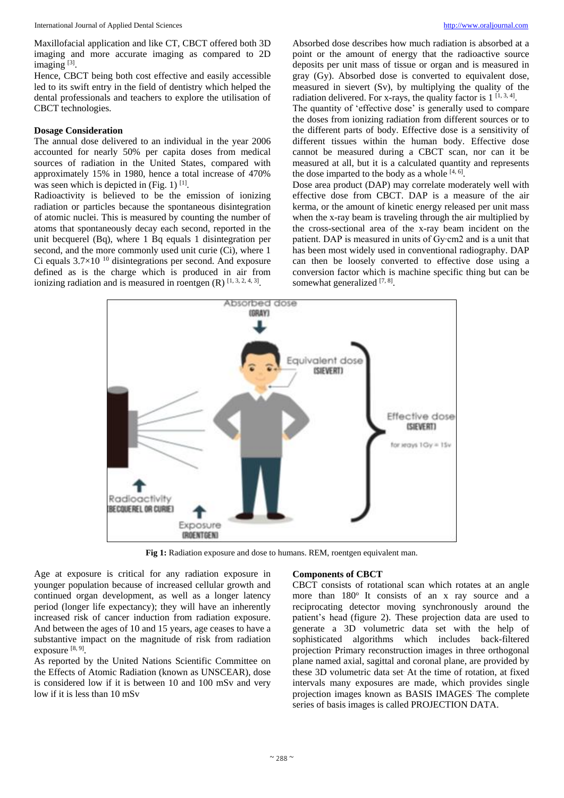Maxillofacial application and like CT, CBCT offered both 3D imaging and more accurate imaging as compared to 2D imaging<sup>[3]</sup>.

Hence, CBCT being both cost effective and easily accessible led to its swift entry in the field of dentistry which helped the dental professionals and teachers to explore the utilisation of CBCT technologies.

## **Dosage Consideration**

The annual dose delivered to an individual in the year 2006 accounted for nearly 50% per capita doses from medical sources of radiation in the United States, compared with approximately 15% in 1980, hence a total increase of 470% was seen which is depicted in (Fig. 1)  $^{[1]}$ .

Radioactivity is believed to be the emission of ionizing radiation or particles because the spontaneous disintegration of atomic nuclei. This is measured by counting the number of atoms that spontaneously decay each second, reported in the unit becquerel (Bq), where 1 Bq equals 1 disintegration per second, and the more commonly used unit curie (Ci), where 1 Ci equals  $3.7\times10^{-10}$  disintegrations per second. And exposure defined as is the charge which is produced in air from ionizing radiation and is measured in roentgen  $(R)$  [1, 3, 2, 4, 3].

Absorbed dose describes how much radiation is absorbed at a point or the amount of energy that the radioactive source deposits per unit mass of tissue or organ and is measured in gray (Gy). Absorbed dose is converted to equivalent dose, measured in sievert (Sv), by multiplying the quality of the radiation delivered. For x-rays, the quality factor is  $1^{[1, 3, 4]}$ .

The quantity of 'effective dose' is generally used to compare the doses from ionizing radiation from different sources or to the different parts of body. Effective dose is a sensitivity of different tissues within the human body. Effective dose cannot be measured during a CBCT scan, nor can it be measured at all, but it is a calculated quantity and represents the dose imparted to the body as a whole  $[4, 6]$ .

Dose area product (DAP) may correlate moderately well with effective dose from CBCT. DAP is a measure of the air kerma, or the amount of kinetic energy released per unit mass when the x-ray beam is traveling through the air multiplied by the cross-sectional area of the x-ray beam incident on the patient. DAP is measured in units of Gy∙cm2 and is a unit that has been most widely used in conventional radiography. DAP can then be loosely converted to effective dose using a conversion factor which is machine specific thing but can be somewhat generalized [7, 8].



**Fig 1:** Radiation exposure and dose to humans. REM, roentgen equivalent man.

Age at exposure is critical for any radiation exposure in younger population because of increased cellular growth and continued organ development, as well as a longer latency period (longer life expectancy); they will have an inherently increased risk of cancer induction from radiation exposure. And between the ages of 10 and 15 years, age ceases to have a substantive impact on the magnitude of risk from radiation exposure [8, 9].

As reported by the United Nations Scientific Committee on the Effects of Atomic Radiation (known as UNSCEAR), dose is considered low if it is between 10 and 100 mSv and very low if it is less than 10 mSv

### **Components of CBCT**

CBCT consists of rotational scan which rotates at an angle more than  $180^\circ$  It consists of an x ray source and a reciprocating detector moving synchronously around the patient's head (figure 2). These projection data are used to generate a 3D volumetric data set with the help of sophisticated algorithms which includes back-filtered projection. Primary reconstruction images in three orthogonal plane named axial, sagittal and coronal plane, are provided by these 3D volumetric data set. At the time of rotation, at fixed intervals many exposures are made, which provides single projection images known as BASIS IMAGES. The complete series of basis images is called PROJECTION DATA.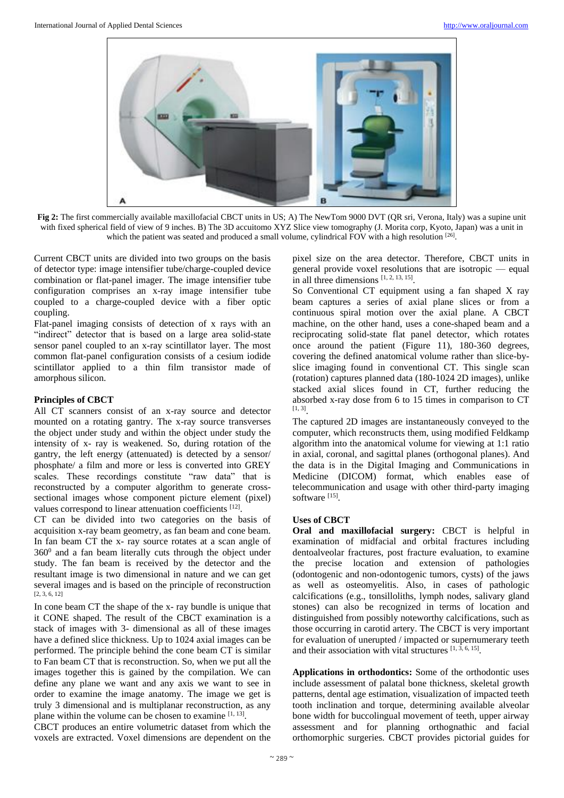

**Fig 2:** The first commercially available maxillofacial CBCT units in US; A) The NewTom 9000 DVT (QR sri, Verona, Italy) was a supine unit with fixed spherical field of view of 9 inches. B) The 3D accuitomo XYZ Slice view tomography (J. Morita corp, Kyoto, Japan) was a unit in which the patient was seated and produced a small volume, cylindrical FOV with a high resolution <sup>[26]</sup>.

Current CBCT units are divided into two groups on the basis of detector type: image intensifier tube/charge-coupled device combination or flat-panel imager. The image intensifier tube configuration comprises an x-ray image intensifier tube coupled to a charge-coupled device with a fiber optic coupling.

Flat-panel imaging consists of detection of x rays with an "indirect" detector that is based on a large area solid-state sensor panel coupled to an x-ray scintillator layer. The most common flat-panel configuration consists of a cesium iodide scintillator applied to a thin film transistor made of amorphous silicon.

### **Principles of CBCT**

All CT scanners consist of an x-ray source and detector mounted on a rotating gantry. The x-ray source transverses the object under study and within the object under study the intensity of x- ray is weakened. So, during rotation of the gantry, the left energy (attenuated) is detected by a sensor/ phosphate/ a film and more or less is converted into GREY scales. These recordings constitute "raw data" that is reconstructed by a computer algorithm to generate crosssectional images whose component picture element (pixel) values correspond to linear attenuation coefficients [12].

CT can be divided into two categories on the basis of acquisition x-ray beam geometry, as fan beam and cone beam. In fan beam CT the x- ray source rotates at a scan angle of 360<sup>0</sup> and a fan beam literally cuts through the object under study. The fan beam is received by the detector and the resultant image is two dimensional in nature and we can get several images and is based on the principle of reconstruction [2, 3, 6, 12]

In cone beam CT the shape of the x- ray bundle is unique that it CONE shaped. The result of the CBCT examination is a stack of images with 3- dimensional as all of these images have a defined slice thickness. Up to 1024 axial images can be performed. The principle behind the cone beam CT is similar to Fan beam CT that is reconstruction. So, when we put all the images together this is gained by the compilation. We can define any plane we want and any axis we want to see in order to examine the image anatomy. The image we get is truly 3 dimensional and is multiplanar reconstruction, as any plane within the volume can be chosen to examine [1, 13].

CBCT produces an entire volumetric dataset from which the voxels are extracted. Voxel dimensions are dependent on the pixel size on the area detector. Therefore, CBCT units in general provide voxel resolutions that are isotropic — equal in all three dimensions [1, 2, 13, 15] .

So Conventional CT equipment using a fan shaped X ray beam captures a series of axial plane slices or from a continuous spiral motion over the axial plane. A CBCT machine, on the other hand, uses a cone-shaped beam and a reciprocating solid-state flat panel detector, which rotates once around the patient (Figure 11), 180-360 degrees, covering the defined anatomical volume rather than slice-byslice imaging found in conventional CT. This single scan (rotation) captures planned data (180-1024 2D images), unlike stacked axial slices found in CT, further reducing the absorbed x-ray dose from 6 to 15 times in comparison to CT [1, 3] .

The captured 2D images are instantaneously conveyed to the computer, which reconstructs them, using modified Feldkamp algorithm into the anatomical volume for viewing at 1:1 ratio in axial, coronal, and sagittal planes (orthogonal planes). And the data is in the Digital Imaging and Communications in Medicine (DICOM) format, which enables ease of telecommunication and usage with other third-party imaging software [15].

### **Uses of CBCT**

**Oral and maxillofacial surgery:** CBCT is helpful in examination of midfacial and orbital fractures including dentoalveolar fractures, post fracture evaluation, to examine the precise location and extension of pathologies (odontogenic and non-odontogenic tumors, cysts) of the jaws as well as osteomyelitis. Also, in cases of pathologic calcifications (e.g., tonsilloliths, lymph nodes, salivary gland stones) can also be recognized in terms of location and distinguished from possibly noteworthy calcifications, such as those occurring in carotid artery. The CBCT is very important for evaluation of unerupted / impacted or supernumerary teeth and their association with vital structures [1, 3, 6, 15].

**Applications in orthodontics:** Some of the orthodontic uses include assessment of palatal bone thickness, skeletal growth patterns, dental age estimation, visualization of impacted teeth tooth inclination and torque, determining available alveolar bone width for buccolingual movement of teeth, upper airway assessment and for planning orthognathic and facial orthomorphic surgeries. CBCT provides pictorial guides for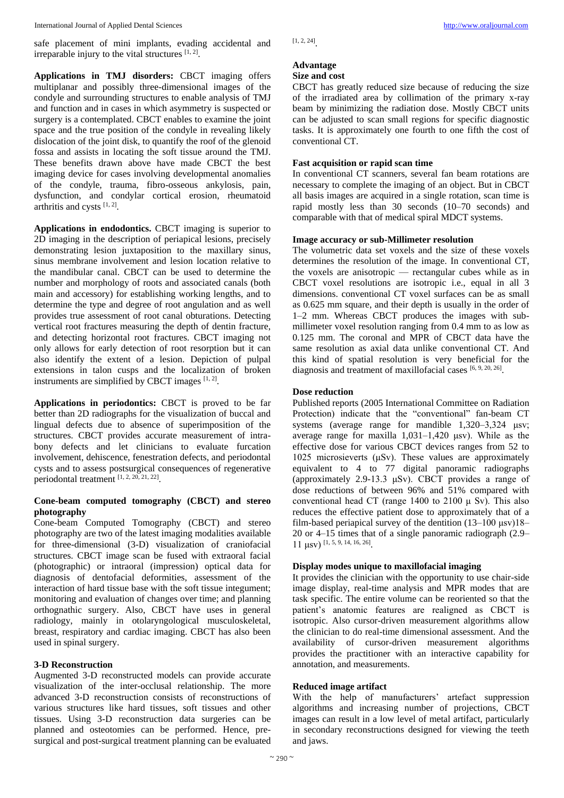International Journal of Applied Dental Sciences [http://www.oraljournal.com](http://www.oraljournal.com/)

safe placement of mini implants, evading accidental and irreparable injury to the vital structures  $[1, 2]$ .

**Applications in TMJ disorders:** CBCT imaging offers multiplanar and possibly three-dimensional images of the condyle and surrounding structures to enable analysis of TMJ and function and in cases in which asymmetry is suspected or surgery is a contemplated. CBCT enables to examine the joint space and the true position of the condyle in revealing likely dislocation of the joint disk, to quantify the roof of the glenoid fossa and assists in locating the soft tissue around the TMJ. These benefits drawn above have made CBCT the best imaging device for cases involving developmental anomalies of the condyle, trauma, fibro-osseous ankylosis, pain, dysfunction, and condylar cortical erosion, rheumatoid arthritis and cysts  $[1, 2]$ .

**Applications in endodontics.** CBCT imaging is superior to 2D imaging in the description of periapical lesions, precisely demonstrating lesion juxtaposition to the maxillary sinus, sinus membrane involvement and lesion location relative to the mandibular canal. CBCT can be used to determine the number and morphology of roots and associated canals (both main and accessory) for establishing working lengths, and to determine the type and degree of root angulation and as well provides true assessment of root canal obturations. Detecting vertical root fractures measuring the depth of dentin fracture, and detecting horizontal root fractures. CBCT imaging not only allows for early detection of root resorption but it can also identify the extent of a lesion. Depiction of pulpal extensions in talon cusps and the localization of broken instruments are simplified by CBCT images  $[1, 2]$ .

**Applications in periodontics:** CBCT is proved to be far better than 2D radiographs for the visualization of buccal and lingual defects due to absence of superimposition of the structures. CBCT provides accurate measurement of intrabony defects and let clinicians to evaluate furcation involvement, dehiscence, fenestration defects, and periodontal cysts and to assess postsurgical consequences of regenerative periodontal treatment [1, 2, 20, 21, 22] .

### **Cone-beam computed tomography (CBCT) and stereo photography**

Cone-beam Computed Tomography (CBCT) and stereo photography are two of the latest imaging modalities available for three-dimensional (3-D) visualization of craniofacial structures. CBCT image scan be fused with extraoral facial (photographic) or intraoral (impression) optical data for diagnosis of dentofacial deformities, assessment of the interaction of hard tissue base with the soft tissue integument; monitoring and evaluation of changes over time; and planning orthognathic surgery. Also, CBCT have uses in general radiology, mainly in otolaryngological musculoskeletal, breast, respiratory and cardiac imaging. CBCT has also been used in spinal surgery.

# **3-D Reconstruction**

Augmented 3-D reconstructed models can provide accurate visualization of the inter-occlusal relationship. The more advanced 3-D reconstruction consists of reconstructions of various structures like hard tissues, soft tissues and other tissues. Using 3-D reconstruction data surgeries can be planned and osteotomies can be performed. Hence, presurgical and post-surgical treatment planning can be evaluated

[1, 2, 24] .

# **Advantage**

**Size and cost**

CBCT has greatly reduced size because of reducing the size of the irradiated area by collimation of the primary x-ray beam by minimizing the radiation dose. Mostly CBCT units can be adjusted to scan small regions for specific diagnostic tasks. It is approximately one fourth to one fifth the cost of conventional CT.

# **Fast acquisition or rapid scan time**

In conventional CT scanners, several fan beam rotations are necessary to complete the imaging of an object. But in CBCT all basis images are acquired in a single rotation, scan time is rapid mostly less than 30 seconds (10–70 seconds) and comparable with that of medical spiral MDCT systems.

### **Image accuracy or sub-Millimeter resolution**

The volumetric data set voxels and the size of these voxels determines the resolution of the image. In conventional CT, the voxels are anisotropic — rectangular cubes while as in CBCT voxel resolutions are isotropic i.e., equal in all 3 dimensions. conventional CT voxel surfaces can be as small as 0.625 mm square, and their depth is usually in the order of 1–2 mm. Whereas CBCT produces the images with submillimeter voxel resolution ranging from 0.4 mm to as low as 0.125 mm. The coronal and MPR of CBCT data have the same resolution as axial data unlike conventional CT. And this kind of spatial resolution is very beneficial for the diagnosis and treatment of maxillofacial cases [6, 9, 20, 26].

## **Dose reduction**

Published reports (2005 International Committee on Radiation Protection) indicate that the "conventional" fan-beam CT systems (average range for mandible 1,320–3,324 μsv; average range for maxilla 1,031–1,420 μsv). While as the effective dose for various CBCT devices ranges from 52 to 1025 microsieverts (μSv). These values are approximately equivalent to 4 to 77 digital panoramic radiographs (approximately 2.9-13.3 μSv). CBCT provides a range of dose reductions of between 96% and 51% compared with conventional head CT (range 1400 to 2100 μ Sv). This also reduces the effective patient dose to approximately that of a film-based periapical survey of the dentition (13–100 μsv)18– 20 or 4–15 times that of a single panoramic radiograph (2.9– 11 μsv)  $[1, 5, 9, 14, 16, 26]$ 

# **Display modes unique to maxillofacial imaging**

It provides the clinician with the opportunity to use chair-side image display, real-time analysis and MPR modes that are task specific. The entire volume can be reoriented so that the patient's anatomic features are realigned as CBCT is isotropic. Also cursor-driven measurement algorithms allow the clinician to do real-time dimensional assessment. And the availability of cursor-driven measurement algorithms provides the practitioner with an interactive capability for annotation, and measurements.

### **Reduced image artifact**

With the help of manufacturers' artefact suppression algorithms and increasing number of projections, CBCT images can result in a low level of metal artifact, particularly in secondary reconstructions designed for viewing the teeth and jaws.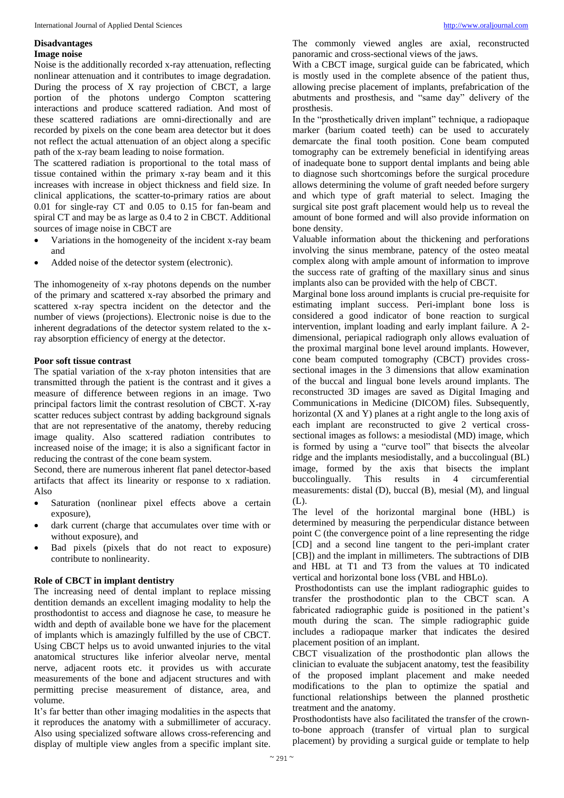### **Disadvantages Image noise**

Noise is the additionally recorded x-ray attenuation, reflecting nonlinear attenuation and it contributes to image degradation. During the process of X ray projection of CBCT, a large portion of the photons undergo Compton scattering interactions and produce scattered radiation. And most of these scattered radiations are omni-directionally and are recorded by pixels on the cone beam area detector but it does not reflect the actual attenuation of an object along a specific path of the x-ray beam leading to noise formation.

The scattered radiation is proportional to the total mass of tissue contained within the primary x-ray beam and it this increases with increase in object thickness and field size. In clinical applications, the scatter-to-primary ratios are about 0.01 for single-ray CT and 0.05 to 0.15 for fan-beam and spiral CT and may be as large as 0.4 to 2 in CBCT. Additional sources of image noise in CBCT are

- Variations in the homogeneity of the incident x-ray beam and
- Added noise of the detector system (electronic).

The inhomogeneity of x-ray photons depends on the number of the primary and scattered x-ray absorbed the primary and scattered x-ray spectra incident on the detector and the number of views (projections). Electronic noise is due to the inherent degradations of the detector system related to the xray absorption efficiency of energy at the detector.

### **Poor soft tissue contrast**

The spatial variation of the x-ray photon intensities that are transmitted through the patient is the contrast and it gives a measure of difference between regions in an image. Two principal factors limit the contrast resolution of CBCT. X-ray scatter reduces subject contrast by adding background signals that are not representative of the anatomy, thereby reducing image quality. Also scattered radiation contributes to increased noise of the image; it is also a significant factor in reducing the contrast of the cone beam system.

Second, there are numerous inherent flat panel detector-based artifacts that affect its linearity or response to x radiation. Also

- Saturation (nonlinear pixel effects above a certain exposure),
- dark current (charge that accumulates over time with or without exposure), and
- Bad pixels (pixels that do not react to exposure) contribute to nonlinearity.

### **Role of CBCT in implant dentistry**

The increasing need of dental implant to replace missing dentition demands an excellent imaging modality to help the prosthodontist to access and diagnose he case, to measure he width and depth of available bone we have for the placement of implants which is amazingly fulfilled by the use of CBCT. Using CBCT helps us to avoid unwanted injuries to the vital anatomical structures like inferior alveolar nerve, mental nerve, adjacent roots etc. it provides us with accurate measurements of the bone and adjacent structures and with permitting precise measurement of distance, area, and volume.

It's far better than other imaging modalities in the aspects that it reproduces the anatomy with a submillimeter of accuracy. Also using specialized software allows cross-referencing and display of multiple view angles from a specific implant site.

The commonly viewed angles are axial, reconstructed panoramic and cross-sectional views of the jaws.

With a CBCT image, surgical guide can be fabricated, which is mostly used in the complete absence of the patient thus, allowing precise placement of implants, prefabrication of the abutments and prosthesis, and "same day" delivery of the prosthesis.

In the "prosthetically driven implant" technique, a radiopaque marker (barium coated teeth) can be used to accurately demarcate the final tooth position. Cone beam computed tomography can be extremely beneficial in identifying areas of inadequate bone to support dental implants and being able to diagnose such shortcomings before the surgical procedure allows determining the volume of graft needed before surgery and which type of graft material to select. Imaging the surgical site post graft placement would help us to reveal the amount of bone formed and will also provide information on bone density.

Valuable information about the thickening and perforations involving the sinus membrane, patency of the osteo meatal complex along with ample amount of information to improve the success rate of grafting of the maxillary sinus and sinus implants also can be provided with the help of CBCT.

Marginal bone loss around implants is crucial pre-requisite for estimating implant success. Peri-implant bone loss is considered a good indicator of bone reaction to surgical intervention, implant loading and early implant failure. A 2 dimensional, periapical radiograph only allows evaluation of the proximal marginal bone level around implants. However, cone beam computed tomography (CBCT) provides crosssectional images in the 3 dimensions that allow examination of the buccal and lingual bone levels around implants. The reconstructed 3D images are saved as Digital Imaging and Communications in Medicine (DICOM) files. Subsequently, horizontal (X and Y) planes at a right angle to the long axis of each implant are reconstructed to give 2 vertical crosssectional images as follows: a mesiodistal (MD) image, which is formed by using a "curve tool" that bisects the alveolar ridge and the implants mesiodistally, and a buccolingual (BL) image, formed by the axis that bisects the implant buccolingually. This results in 4 circumferential measurements: distal (D), buccal (B), mesial (M), and lingual (L).

The level of the horizontal marginal bone (HBL) is determined by measuring the perpendicular distance between point C (the convergence point of a line representing the ridge [CD] and a second line tangent to the peri-implant crater [CB]) and the implant in millimeters. The subtractions of DIB and HBL at T1 and T3 from the values at T0 indicated vertical and horizontal bone loss (VBL and HBLo).

Prosthodontists can use the implant radiographic guides to transfer the prosthodontic plan to the CBCT scan. A fabricated radiographic guide is positioned in the patient's mouth during the scan. The simple radiographic guide includes a radiopaque marker that indicates the desired placement position of an implant.

CBCT visualization of the prosthodontic plan allows the clinician to evaluate the subjacent anatomy, test the feasibility of the proposed implant placement and make needed modifications to the plan to optimize the spatial and functional relationships between the planned prosthetic treatment and the anatomy.

Prosthodontists have also facilitated the transfer of the crownto-bone approach (transfer of virtual plan to surgical placement) by providing a surgical guide or template to help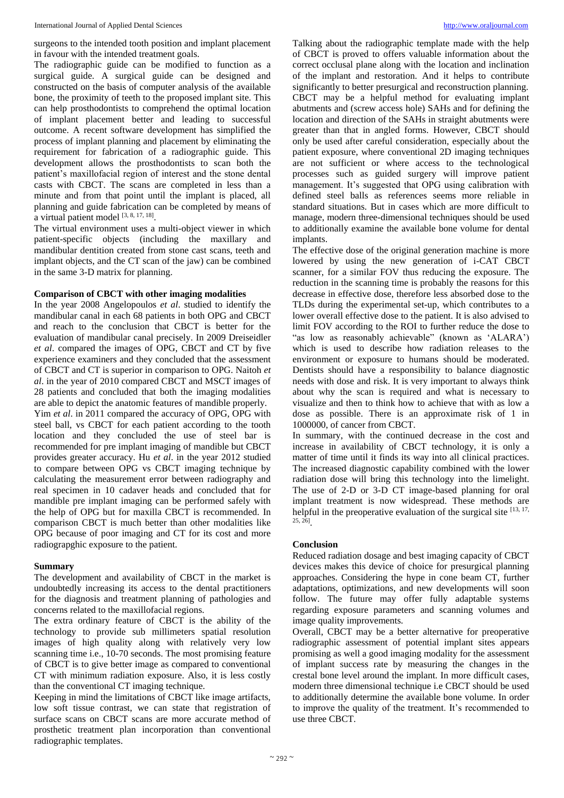surgeons to the intended tooth position and implant placement in favour with the intended treatment goals.

The radiographic guide can be modified to function as a surgical guide. A surgical guide can be designed and constructed on the basis of computer analysis of the available bone, the proximity of teeth to the proposed implant site. This can help prosthodontists to comprehend the optimal location of implant placement better and leading to successful outcome. A recent software development has simplified the process of implant planning and placement by eliminating the requirement for fabrication of a radiographic guide. This development allows the prosthodontists to scan both the patient's maxillofacial region of interest and the stone dental casts with CBCT. The scans are completed in less than a minute and from that point until the implant is placed, all planning and guide fabrication can be completed by means of a virtual patient model  $[3, 8, 17, 18]$ .

The virtual environment uses a multi-object viewer in which patient-specific objects (including the maxillary and mandibular dentition created from stone cast scans, teeth and implant objects, and the CT scan of the jaw) can be combined in the same 3-D matrix for planning.

### **Comparison of CBCT with other imaging modalities**

In the year 2008 Angelopoulos *et al*. studied to identify the mandibular canal in each 68 patients in both OPG and CBCT and reach to the conclusion that CBCT is better for the evaluation of mandibular canal precisely. In 2009 Dreiseidler *et al*. compared the images of OPG, CBCT and CT by five experience examiners and they concluded that the assessment of CBCT and CT is superior in comparison to OPG. Naitoh *et al*. in the year of 2010 compared CBCT and MSCT images of 28 patients and concluded that both the imaging modalities are able to depict the anatomic features of mandible properly. Yim *et al*. in 2011 compared the accuracy of OPG, OPG with steel ball, vs CBCT for each patient according to the tooth location and they concluded the use of steel bar is recommended for pre implant imaging of mandible but CBCT provides greater accuracy. Hu *et al*. in the year 2012 studied to compare between OPG vs CBCT imaging technique by calculating the measurement error between radiography and real specimen in 10 cadaver heads and concluded that for mandible pre implant imaging can be performed safely with the help of OPG but for maxilla CBCT is recommended. In comparison CBCT is much better than other modalities like OPG because of poor imaging and CT for its cost and more radiograpghic exposure to the patient.

### **Summary**

The development and availability of CBCT in the market is undoubtedly increasing its access to the dental practitioners for the diagnosis and treatment planning of pathologies and concerns related to the maxillofacial regions.

The extra ordinary feature of CBCT is the ability of the technology to provide sub millimeters spatial resolution images of high quality along with relatively very low scanning time i.e., 10-70 seconds. The most promising feature of CBCT is to give better image as compared to conventional CT with minimum radiation exposure. Also, it is less costly than the conventional CT imaging technique.

Keeping in mind the limitations of CBCT like image artifacts, low soft tissue contrast, we can state that registration of surface scans on CBCT scans are more accurate method of prosthetic treatment plan incorporation than conventional radiographic templates.

Talking about the radiographic template made with the help of CBCT is proved to offers valuable information about the correct occlusal plane along with the location and inclination of the implant and restoration. And it helps to contribute significantly to better presurgical and reconstruction planning. CBCT may be a helpful method for evaluating implant abutments and (screw access hole) SAHs and for defining the location and direction of the SAHs in straight abutments were greater than that in angled forms. However, CBCT should only be used after careful consideration, especially about the patient exposure, where conventional 2D imaging techniques are not sufficient or where access to the technological processes such as guided surgery will improve patient management. It's suggested that OPG using calibration with defined steel balls as references seems more reliable in standard situations. But in cases which are more difficult to manage, modern three-dimensional techniques should be used to additionally examine the available bone volume for dental implants.

The effective dose of the original generation machine is more lowered by using the new generation of i-CAT CBCT scanner, for a similar FOV thus reducing the exposure. The reduction in the scanning time is probably the reasons for this decrease in effective dose, therefore less absorbed dose to the TLDs during the experimental set-up, which contributes to a lower overall effective dose to the patient. It is also advised to limit FOV according to the ROI to further reduce the dose to "as low as reasonably achievable" (known as 'ALARA') which is used to describe how radiation releases to the environment or exposure to humans should be moderated. Dentists should have a responsibility to balance diagnostic needs with dose and risk. It is very important to always think about why the scan is required and what is necessary to visualize and then to think how to achieve that with as low a dose as possible. There is an approximate risk of 1 in 1000000, of cancer from CBCT.

In summary, with the continued decrease in the cost and increase in availability of CBCT technology, it is only a matter of time until it finds its way into all clinical practices. The increased diagnostic capability combined with the lower radiation dose will bring this technology into the limelight. The use of 2-D or 3-D CT image-based planning for oral implant treatment is now widespread. These methods are helpful in the preoperative evaluation of the surgical site  $[13, 17, 17]$ 25, 26] .

### **Conclusion**

Reduced radiation dosage and best imaging capacity of CBCT devices makes this device of choice for presurgical planning approaches. Considering the hype in cone beam CT, further adaptations, optimizations, and new developments will soon follow. The future may offer fully adaptable systems regarding exposure parameters and scanning volumes and image quality improvements.

Overall, CBCT may be a better alternative for preoperative radiographic assessment of potential implant sites appears promising as well a good imaging modality for the assessment of implant success rate by measuring the changes in the crestal bone level around the implant. In more difficult cases, modern three dimensional technique i.e CBCT should be used to additionally determine the available bone volume. In order to improve the quality of the treatment. It's recommended to use three CBCT.